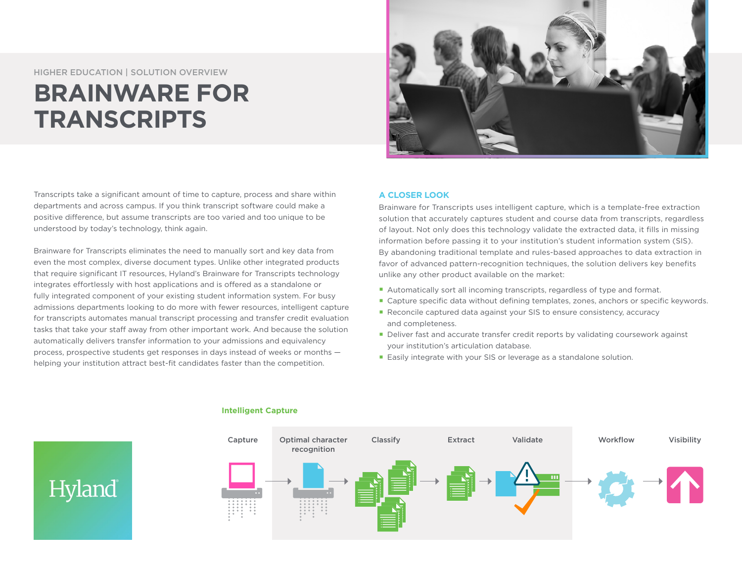HIGHER EDUCATION | SOLUTION OVERVIEW

Hyland

## **BRAINWARE FOR TRANSCRIPTS**

Transcripts take a significant amount of time to capture, process and share within departments and across campus. If you think transcript software could make a positive difference, but assume transcripts are too varied and too unique to be understood by today's technology, think again.

Brainware for Transcripts eliminates the need to manually sort and key data from even the most complex, diverse document types. Unlike other integrated products that require significant IT resources, Hyland's Brainware for Transcripts technology integrates effortlessly with host applications and is offered as a standalone or fully integrated component of your existing student information system. For busy admissions departments looking to do more with fewer resources, intelligent capture for transcripts automates manual transcript processing and transfer credit evaluation tasks that take your staff away from other important work. And because the solution automatically delivers transfer information to your admissions and equivalency process, prospective students get responses in days instead of weeks or months helping your institution attract best-fit candidates faster than the competition.



## **A CLOSER LOOK**

Brainware for Transcripts uses intelligent capture, which is a template-free extraction solution that accurately captures student and course data from transcripts, regardless of layout. Not only does this technology validate the extracted data, it fills in missing information before passing it to your institution's student information system (SIS). By abandoning traditional template and rules-based approaches to data extraction in favor of advanced pattern-recognition techniques, the solution delivers key benefits unlike any other product available on the market:

- Automatically sort all incoming transcripts, regardless of type and format.
- Capture specific data without defining templates, zones, anchors or specific keywords.
- Reconcile captured data against your SIS to ensure consistency, accuracy and completeness.
- Deliver fast and accurate transfer credit reports by validating coursework against your institution's articulation database.
- Easily integrate with your SIS or leverage as a standalone solution.



## **Intelligent Capture**